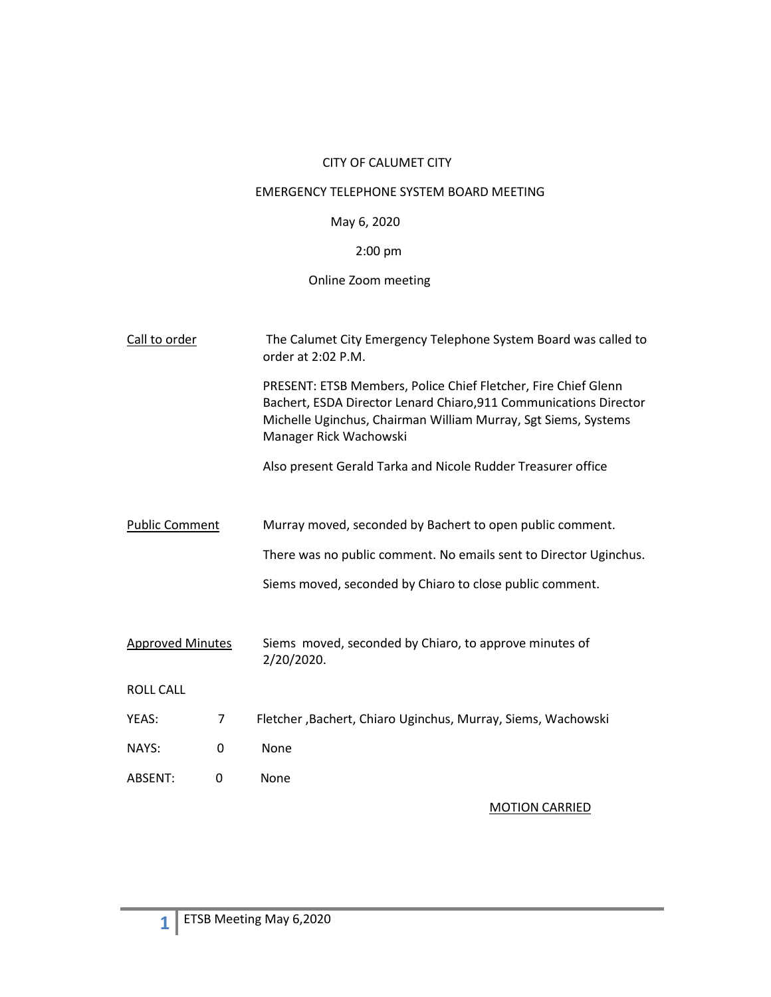## CITY OF CALUMET CITY

### EMERGENCY TELEPHONE SYSTEM BOARD MEETING

# May 6, 2020

# 2:00 pm

# Online Zoom meeting

| Call to order           |   | The Calumet City Emergency Telephone System Board was called to<br>order at 2:02 P.M.                                                                                                                                           |  |  |
|-------------------------|---|---------------------------------------------------------------------------------------------------------------------------------------------------------------------------------------------------------------------------------|--|--|
|                         |   | PRESENT: ETSB Members, Police Chief Fletcher, Fire Chief Glenn<br>Bachert, ESDA Director Lenard Chiaro, 911 Communications Director<br>Michelle Uginchus, Chairman William Murray, Sgt Siems, Systems<br>Manager Rick Wachowski |  |  |
|                         |   | Also present Gerald Tarka and Nicole Rudder Treasurer office                                                                                                                                                                    |  |  |
|                         |   |                                                                                                                                                                                                                                 |  |  |
| <b>Public Comment</b>   |   | Murray moved, seconded by Bachert to open public comment.                                                                                                                                                                       |  |  |
|                         |   | There was no public comment. No emails sent to Director Uginchus.                                                                                                                                                               |  |  |
|                         |   | Siems moved, seconded by Chiaro to close public comment.                                                                                                                                                                        |  |  |
|                         |   |                                                                                                                                                                                                                                 |  |  |
| <b>Approved Minutes</b> |   | Siems moved, seconded by Chiaro, to approve minutes of<br>2/20/2020.                                                                                                                                                            |  |  |
| <b>ROLL CALL</b>        |   |                                                                                                                                                                                                                                 |  |  |
| YEAS:                   | 7 | Fletcher, Bachert, Chiaro Uginchus, Murray, Siems, Wachowski                                                                                                                                                                    |  |  |
| NAYS:                   | 0 | None                                                                                                                                                                                                                            |  |  |
| ABSENT:                 | 0 | None                                                                                                                                                                                                                            |  |  |

# MOTION CARRIED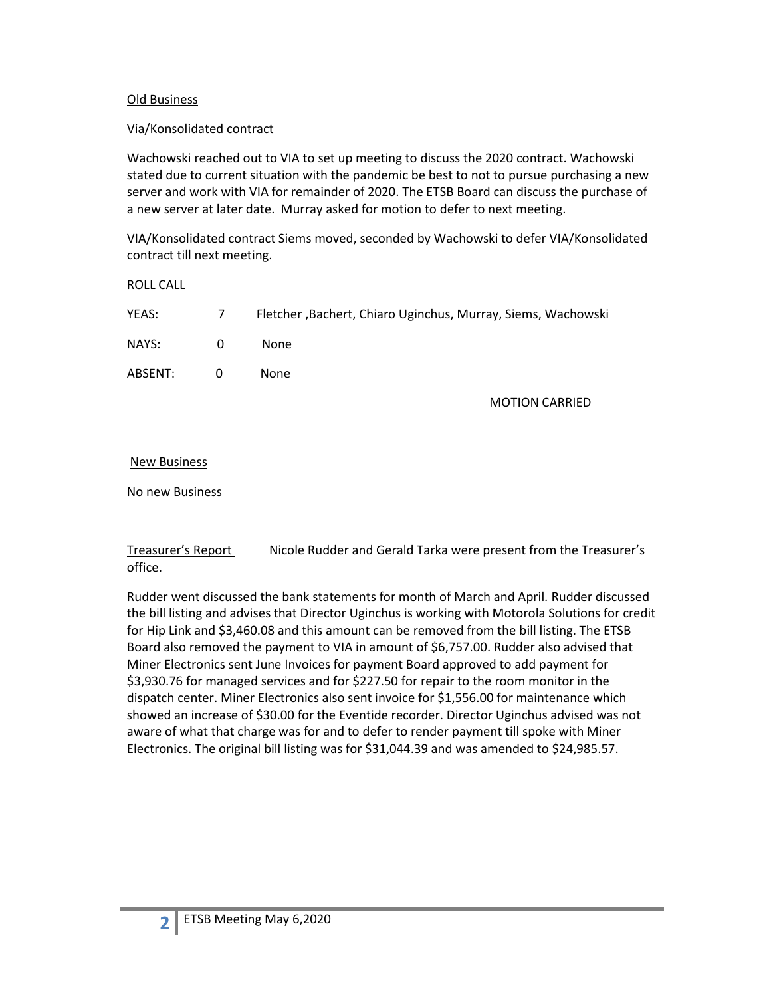### Old Business

### Via/Konsolidated contract

Wachowski reached out to VIA to set up meeting to discuss the 2020 contract. Wachowski stated due to current situation with the pandemic be best to not to pursue purchasing a new server and work with VIA for remainder of 2020. The ETSB Board can discuss the purchase of a new server at later date. Murray asked for motion to defer to next meeting.

VIA/Konsolidated contract Siems moved, seconded by Wachowski to defer VIA/Konsolidated contract till next meeting.

ROLL CALL

| YEAS:   | $\overline{7}$ | Fletcher, Bachert, Chiaro Uginchus, Murray, Siems, Wachowski |
|---------|----------------|--------------------------------------------------------------|
| NAYS:   | $\Omega$       | None.                                                        |
| ABSENT: | $\Omega$       | None.                                                        |

#### MOTION CARRIED

#### New Business

No new Business

Treasurer's Report Nicole Rudder and Gerald Tarka were present from the Treasurer's office.

Rudder went discussed the bank statements for month of March and April. Rudder discussed the bill listing and advises that Director Uginchus is working with Motorola Solutions for credit for Hip Link and \$3,460.08 and this amount can be removed from the bill listing. The ETSB Board also removed the payment to VIA in amount of \$6,757.00. Rudder also advised that Miner Electronics sent June Invoices for payment Board approved to add payment for \$3,930.76 for managed services and for \$227.50 for repair to the room monitor in the dispatch center. Miner Electronics also sent invoice for \$1,556.00 for maintenance which showed an increase of \$30.00 for the Eventide recorder. Director Uginchus advised was not aware of what that charge was for and to defer to render payment till spoke with Miner Electronics. The original bill listing was for \$31,044.39 and was amended to \$24,985.57.

**2**